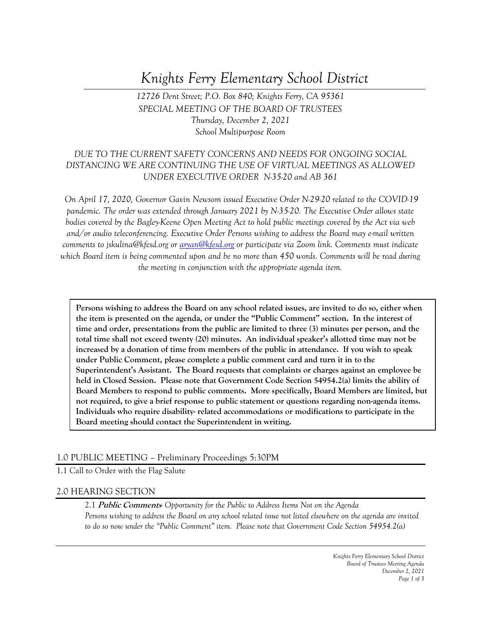# *Knights Ferry Elementary School District*

*12726 Dent Street; P.O. Box 840; Knights Ferry, CA 95361 SPECIAL MEETING OF THE BOARD OF TRUSTEES Thursday, December 2, 2021 School Multipurpose Room*

## *DUE TO THE CURRENT SAFETY CONCERNS AND NEEDS FOR ONGOING SOCIAL DISTANCING WE ARE CONTINUING THE USE OF VIRTUAL MEETINGS AS ALLOWED UNDER EXECUTIVE ORDER N-35-20 and AB 361*

*On April 17, 2020, Governor Gavin Newsom issued Executive Order N-29-20 related to the COVID-19 pandemic. The order was extended through January 2021 by N-35-20. The Executive Order allows state bodies covered by the Bagley-Keene Open Meeting Act to hold public meetings covered by the Act via web and/or audio teleconferencing. Executive Order Persons wishing to address the Board may e-mail written comments to jskulina@kfesd.org or [aryan@kfesd.org](mailto:aryan@kfesd.org) or participate via Zoom link. Comments must indicate which Board item is being commented upon and be no more than 450 words. Comments will be read during the meeting in conjunction with the appropriate agenda item.* 

**Persons wishing to address the Board on any school related issues, are invited to do so, either when the item is presented on the agenda, or under the "Public Comment" section. In the interest of time and order, presentations from the public are limited to three (3) minutes per person, and the total time shall not exceed twenty (20) minutes. An individual speaker's allotted time may not be increased by a donation of time from members of the public in attendance. If you wish to speak under Public Comment, please complete a public comment card and turn it in to the Superintendent's Assistant. The Board requests that complaints or charges against an employee be held in Closed Session. Please note that Government Code Section 54954.2(a) limits the ability of Board Members to respond to public comments. More specifically, Board Members are limited, but not required, to give a brief response to public statement or questions regarding non-agenda items. Individuals who require disability- related accommodations or modifications to participate in the Board meeting should contact the Superintendent in writing.**

#### 1.0 PUBLIC MEETING – Preliminary Proceedings 5:30PM

1.1 Call to Order with the Flag Salute

#### 2.0 HEARING SECTION

2.1 **Public Comments***- Opportunity for the Public to Address Items Not on the Agenda Persons wishing to address the Board on any school related issue not listed elsewhere on the agenda are invited to do so now under the "Public Comment" item. Please note that Government Code Section 54954.2(a)*